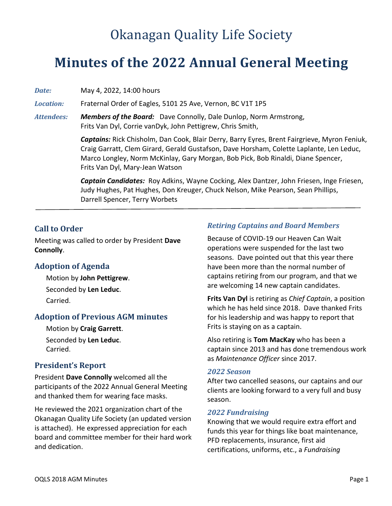# Okanagan Quality Life Society

## **Minutes of the 2022 Annual General Meeting**

*Date:* May 4, 2022, 14:00 hours

*Location:* Fraternal Order of Eagles, 5101 25 Ave, Vernon, BC V1T 1P5

*Attendees: Members of the Board:* Dave Connolly, Dale Dunlop, Norm Armstrong, Frits Van Dyl, Corrie vanDyk, John Pettigrew, Chris Smith,

> *Captains:* Rick Chisholm, Dan Cook, Blair Derry, Barry Eyres, Brent Fairgrieve, Myron Feniuk, Craig Garratt, Clem Girard, Gerald Gustafson, Dave Horsham, Colette Laplante, Len Leduc, Marco Longley, Norm McKinlay, Gary Morgan, Bob Pick, Bob Rinaldi, Diane Spencer, Frits Van Dyl, Mary-Jean Watson

*Captain Candidates:* Roy Adkins, Wayne Cocking, Alex Dantzer, John Friesen, Inge Friesen, Judy Hughes, Pat Hughes, Don Kreuger, Chuck Nelson, Mike Pearson, Sean Phillips, Darrell Spencer, Terry Worbets

## **Call to Order**

Meeting was called to order by President **Dave Connolly**.

## **Adoption of Agenda**

Motion by **John Pettigrew**. Seconded by **Len Leduc**. Carried.

## **Adoption of Previous AGM minutes**

Motion by **Craig Garrett**. Seconded by **Len Leduc**. Carried.

## **President's Report**

President **Dave Connolly** welcomed all the participants of the 2022 Annual General Meeting and thanked them for wearing face masks.

He reviewed the 2021 organization chart of the Okanagan Quality Life Society (an updated version is attached). He expressed appreciation for each board and committee member for their hard work and dedication.

## *Retiring Captains and Board Members*

Because of COVID-19 our Heaven Can Wait operations were suspended for the last two seasons. Dave pointed out that this year there have been more than the normal number of captains retiring from our program, and that we are welcoming 14 new captain candidates.

**Frits Van Dyl** is retiring as *Chief Captain*, a position which he has held since 2018. Dave thanked Frits for his leadership and was happy to report that Frits is staying on as a captain.

Also retiring is **Tom MacKay** who has been a captain since 2013 and has done tremendous work as *Maintenance Officer* since 2017.

#### *2022 Season*

After two cancelled seasons, our captains and our clients are looking forward to a very full and busy season.

#### *2022 Fundraising*

Knowing that we would require extra effort and funds this year for things like boat maintenance, PFD replacements, insurance, first aid certifications, uniforms, etc., a *Fundraising*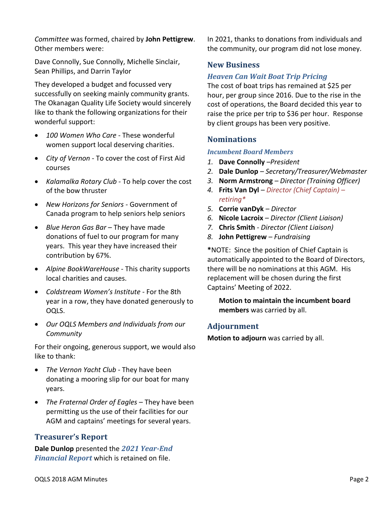*Committee* was formed, chaired by **John Pettigrew**. Other members were:

Dave Connolly, Sue Connolly, Michelle Sinclair, Sean Phillips, and Darrin Taylor

They developed a budget and focussed very successfully on seeking mainly community grants. The Okanagan Quality Life Society would sincerely like to thank the following organizations for their wonderful support:

- *100 Women Who Care* These wonderful women support local deserving charities.
- *City of Vernon* To cover the cost of First Aid courses
- *Kalamalka Rotary Club -* To help cover the cost of the bow thruster
- *New Horizons for Seniors -* Government of Canada program to help seniors help seniors
- *Blue Heron Gas Bar* They have made donations of fuel to our program for many years. This year they have increased their contribution by 67%.
- *Alpine BookWareHouse -* This charity supports local charities and causes.
- *Coldstream Women's Institute* For the 8th year in a row, they have donated generously to OQLS.
- *Our OQLS Members and Individuals from our Community*

For their ongoing, generous support, we would also like to thank:

- *The Vernon Yacht Club* They have been donating a mooring slip for our boat for many years.
- *The Fraternal Order of Eagles*  They have been permitting us the use of their facilities for our AGM and captains' meetings for several years.

## **Treasurer's Report**

**Dale Dunlop** presented the *2021 Year-End Financial Report* which is retained on file.

In 2021, thanks to donations from individuals and the community, our program did not lose money.

## **New Business**

### *Heaven Can Wait Boat Trip Pricing*

The cost of boat trips has remained at \$25 per hour, per group since 2016. Due to the rise in the cost of operations, the Board decided this year to raise the price per trip to \$36 per hour. Response by client groups has been very positive.

## **Nominations**

#### *Incumbent Board Members*

- *1.* **Dave Connolly** *–President*
- *2.* **Dale Dunlop** *– Secretary/Treasurer/Webmaster*
- *3.* **Norm Armstrong** *– Director (Training Officer)*
- *4.* **Frits Van Dyl** *– Director (Chief Captain) – retiring\**
- *5.* **Corrie vanDyk** *– Director*
- *6.* **Nicole Lacroix** *– Director (Client Liaison)*
- *7.* **Chris Smith** *- Director (Client Liaison)*
- *8.* **John Pettigrew** *– Fundraising*

**\***NOTE: Since the position of Chief Captain is automatically appointed to the Board of Directors, there will be no nominations at this AGM. His replacement will be chosen during the first Captains' Meeting of 2022.

**Motion to maintain the incumbent board members** was carried by all.

#### **Adjournment**

**Motion to adjourn** was carried by all.